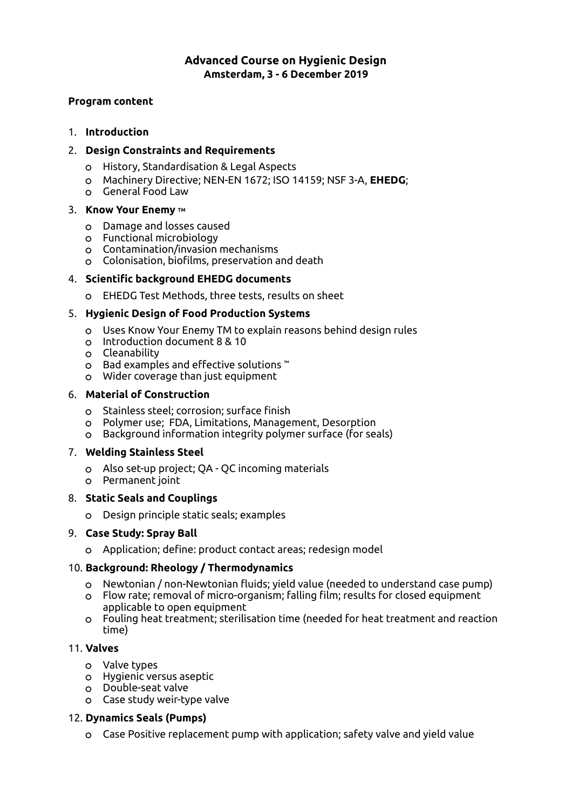# **Advanced Course on Hygienic Design Amsterdam, 3 - 6 December 2019**

### **Program content**

## 1. **Introduction**

## 2. **Design Constraints and Requirements**

- History, Standardisation & Legal Aspects
- Machinery Directive; NEN-EN 1672; ISO 14159; NSF 3-A, **EHEDG**;
- General Food Law

## 3. **Know Your Enemy TM**

- Damage and losses caused
- Functional microbiology
- Contamination/invasion mechanisms
- Colonisation, bioflms, preservation and death

# 4. **Scientifc background EHEDG documents**

EHEDG Test Methods, three tests, results on sheet

# 5. **Hygienic Design of Food Production Systems**

- Uses Know Your Enemy TM to explain reasons behind design rules
- Introduction document 8 & 10
- Cleanability
- Bad examples and efective solutions ™
- Wider coverage than just equipment

# 6. **Material of Construction**

- o Stainless steel; corrosion; surface finish
- Polymer use; FDA, Limitations, Management, Desorption
- Background information integrity polymer surface (for seals)

## 7. **Welding Stainless Steel**

- Also set-up project; QA QC incoming materials
- Permanent joint

## 8. **Static Seals and Couplings**

Design principle static seals; examples

## 9. **Case Study: Spray Ball**

Application; defne: product contact areas; redesign model

# 10. **Background: Rheology / Thermodynamics**

- Newtonian / non-Newtonian fuids; yield value (needed to understand case pump)
- Flow rate; removal of micro-organism; falling flm; results for closed equipment applicable to open equipment
- Fouling heat treatment; sterilisation time (needed for heat treatment and reaction time)

# 11. **Valves**

- Valve types
- Hygienic versus aseptic
- Double-seat valve
- Case study weir-type valve

# 12. **Dynamics Seals (Pumps)**

Case Positive replacement pump with application; safety valve and yield value